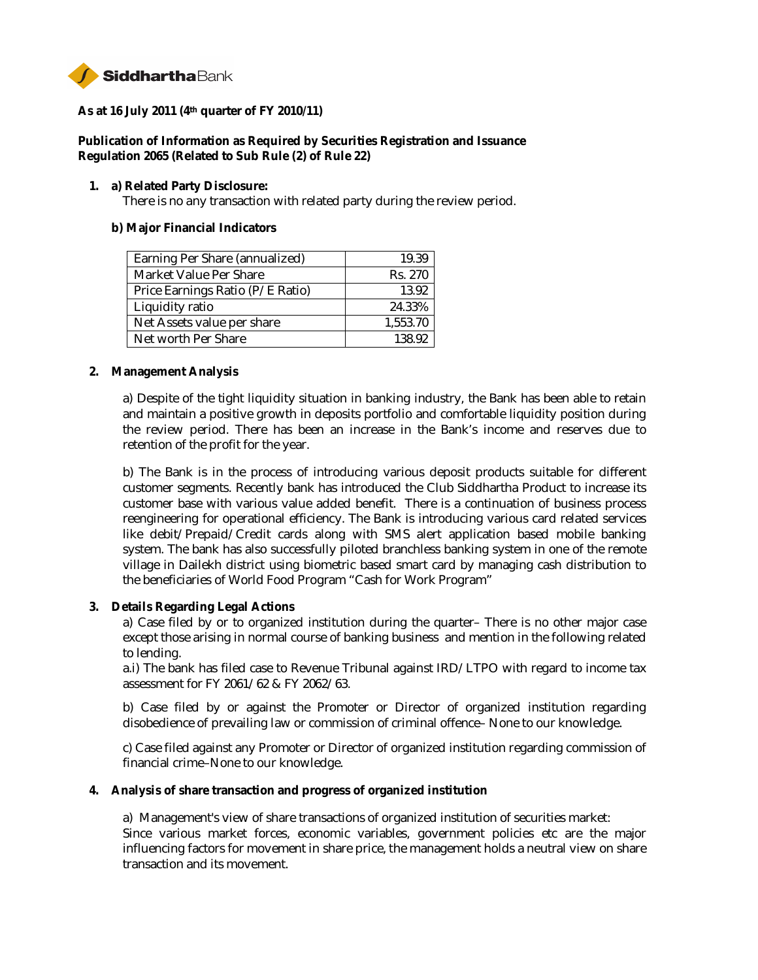

**As at 16 July 2011 (4th quarter of FY 2010/11)**

**Publication of Information as Required by Securities Registration and Issuance Regulation 2065 (Related to Sub Rule (2) of Rule 22)**

**1. a) Related Party Disclosure:**

There is no any transaction with related party during the review period.

**b) Major Financial Indicators**

| Earning Per Share (annualized)   | 19.39    |
|----------------------------------|----------|
| <b>Market Value Per Share</b>    | Rs. 270  |
| Price Earnings Ratio (P/E Ratio) | 13.92    |
| Liquidity ratio                  | 24.33%   |
| Net Assets value per share       | 1,553.70 |
| Net worth Per Share              | 138.92   |

**2. Management Analysis**

a) Despite of the tight liquidity situation in banking industry, the Bank has been able to retain and maintain a positive growth in deposits portfolio and comfortable liquidity position during the review period. There has been an increase in the Bank's income and reserves due to retention of the profit for the year.

b) The Bank is in the process of introducing various deposit products suitable for different customer segments. Recently bank has introduced the Club Siddhartha Product to increase its customer base with various value added benefit. There is a continuation of business process reengineering for operational efficiency. The Bank is introducing various card related services like debit/Prepaid/Credit cards along with SMS alert application based mobile banking system. The bank has also successfully piloted branchless banking system in one of the remote village in Dailekh district using biometric based smart card by managing cash distribution to the beneficiaries of World Food Program "Cash for Work Program"

**3. Details Regarding Legal Actions**

a) Case filed by or to organized institution during the quarter– There is no other major case except those arising in normal course of banking business and mention in the following related to lending.

a.i) The bank has filed case to Revenue Tribunal against IRD/LTPO with regard to income tax assessment for FY 2061/62 & FY 2062/63.

b) Case filed by or against the Promoter or Director of organized institution regarding disobedience of prevailing law or commission of criminal offence– None to our knowledge.

c) Case filed against any Promoter or Director of organized institution regarding commission of financial crime–None to our knowledge.

**4. Analysis of share transaction and progress of organized institution**

a) Management's view of share transactions of organized institution of securities market: Since various market forces, economic variables, government policies etc are the major influencing factors for movement in share price, the management holds a neutral view on share transaction and its movement.